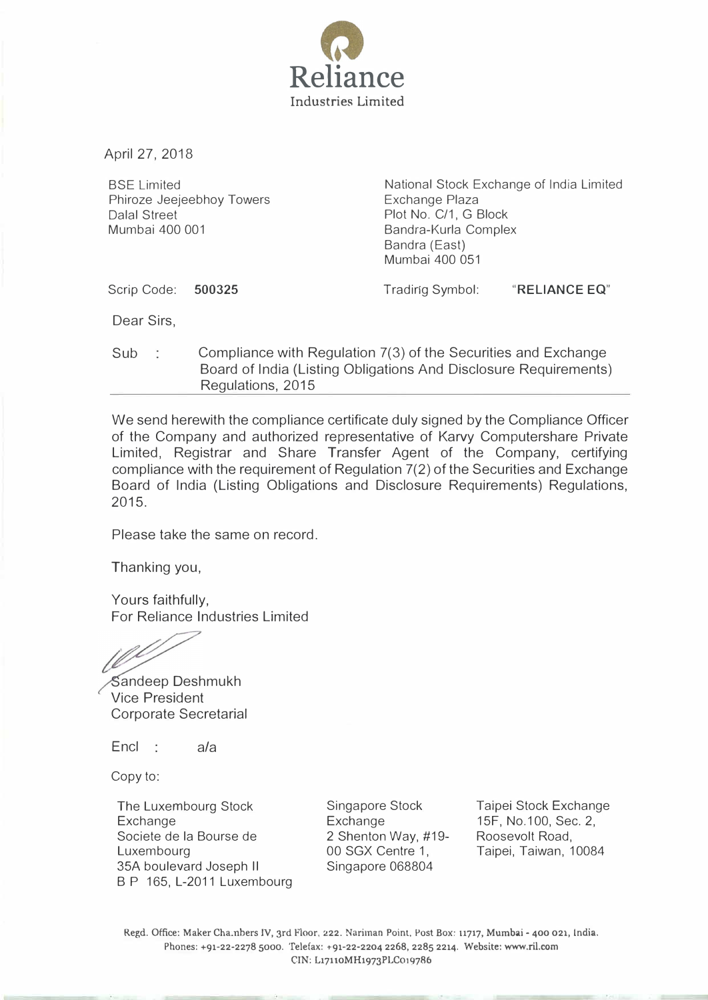

April 27, 2018

BSE Limited Phiroze Jeejeebhoy Towers Dalal Street Mumbai 400 001

National Stock Exchange of India Limited Exchange Plaza Plot No. C/1, G Block Bandra-Kurla Complex Bandra (East) Mumbai 400 051

Scrip Code: 500325

Tradirig Symbol: "RELIANCE EQ"

Dear Sirs,

Sub Compliance with Regulation 7(3) of the Securities and Exchange Board of India (Listing Obligations And Disclosure Requirements) Regulations, 2015

We send herewith the compliance certificate duly signed by the Compliance Officer of the Company and authorized representative of Karvy Computershare Private Limited, Registrar and Share Transfer Agent of the Company, certifying compliance with the requirement of Regulation 7(2) of the Securities and Exchange Board of India (Listing Obligations and Disclosure Requirements) Regulations, 2015.

Please take the same on record.

Thanking you,

Yours faithfully, For Reliance Industries Limited

andeep Deshmukh Vice President Corporate Secretarial

Encl : a/a

Copy to:

The Luxembourg Stock Exchange Societe de Ia Bourse de Luxembourg 35A boulevard Joseph II B P 165, L-2011 Luxembourg Singapore Stock Exchange 2 Shenton Way, #19- 00 SGX Centre 1, Singapore 068804

Taipei Stock Exchange 15F, No.100, Sec. 2, Roosevolt Road, Taipei, Taiwan, 10084

Regd. Office: Maker Cha:nbers fV, 3rd Floor, 222. Nariman Point, Post Box: 11717, Mumbai- 400 021, India. Phones: +91-22-2278 sooo. Telefax: +91-22-2204 2268, 2285 2214. Website: www.ril.com CIN: L17110MH1973PLCo19786